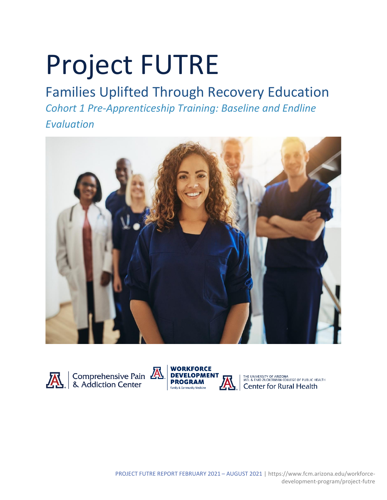# Project FUTRE

# Families Uplifted Through Recovery Education

*Cohort 1 Pre-Apprenticeship Training: Baseline and Endline Evaluation*







THE UNIVERSITY OF ARIZONA<br>MEL & ENID ZUCKERMAN COLLEGE OF PUBLIC HEALTH<br>Center for Rural Health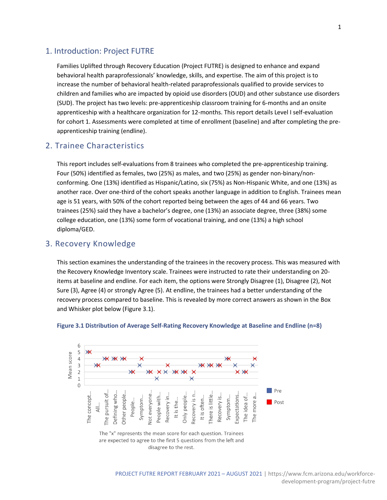## 1. Introduction: Project FUTRE

Families Uplifted through Recovery Education (Project FUTRE) is designed to enhance and expand behavioral health paraprofessionals' knowledge, skills, and expertise. The aim of this project is to increase the number of behavioral health-related paraprofessionals qualified to provide services to children and families who are impacted by opioid use disorders (OUD) and other substance use disorders (SUD). The project has two levels: pre-apprenticeship classroom training for 6-months and an onsite apprenticeship with a healthcare organization for 12-months. This report details Level I self-evaluation for cohort 1. Assessments were completed at time of enrollment (baseline) and after completing the preapprenticeship training (endline).

# 2. Trainee Characteristics

This report includes self-evaluations from 8 trainees who completed the pre-apprenticeship training. Four (50%) identified as females, two (25%) as males, and two (25%) as gender non-binary/nonconforming. One (13%) identified as Hispanic/Latino, six (75%) as Non-Hispanic White, and one (13%) as another race. Over one-third of the cohort speaks another language in addition to English. Trainees mean age is 51 years, with 50% of the cohort reported being between the ages of 44 and 66 years. Two trainees (25%) said they have a bachelor's degree, one (13%) an associate degree, three (38%) some college education, one (13%) some form of vocational training, and one (13%) a high school diploma/GED.

## 3. Recovery Knowledge

This section examines the understanding of the trainees in the recovery process. This was measured with the Recovery Knowledge Inventory scale. Trainees were instructed to rate their understanding on 20 items at baseline and endline. For each item, the options were Strongly Disagree (1), Disagree (2), Not Sure (3), Agree (4) or strongly Agree (5). At endline, the trainees had a better understanding of the recovery process compared to baseline. This is revealed by more correct answers as shown in the Box and Whisker plot below (Figure 3.1).



#### **Figure 3.1 Distribution of Average Self-Rating Recovery Knowledge at Baseline and Endline (n=8)**

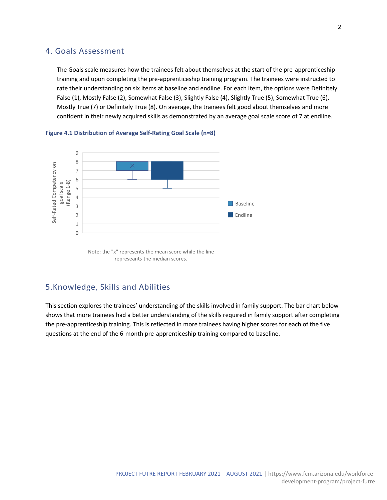# 4. Goals Assessment

The Goals scale measures how the trainees felt about themselves at the start of the pre-apprenticeship training and upon completing the pre-apprenticeship training program. The trainees were instructed to rate their understanding on six items at baseline and endline. For each item, the options were Definitely False (1), Mostly False (2), Somewhat False (3), Slightly False (4), Slightly True (5), Somewhat True (6), Mostly True (7) or Definitely True (8). On average, the trainees felt good about themselves and more confident in their newly acquired skills as demonstrated by an average goal scale score of 7 at endline.





# 5.Knowledge, Skills and Abilities

This section explores the trainees' understanding of the skills involved in family support. The bar chart below shows that more trainees had a better understanding of the skills required in family support after completing the pre-apprenticeship training. This is reflected in more trainees having higher scores for each of the five questions at the end of the 6-month pre-apprenticeship training compared to baseline.

Note: the "x" represents the mean score while the line represeants the median scores.